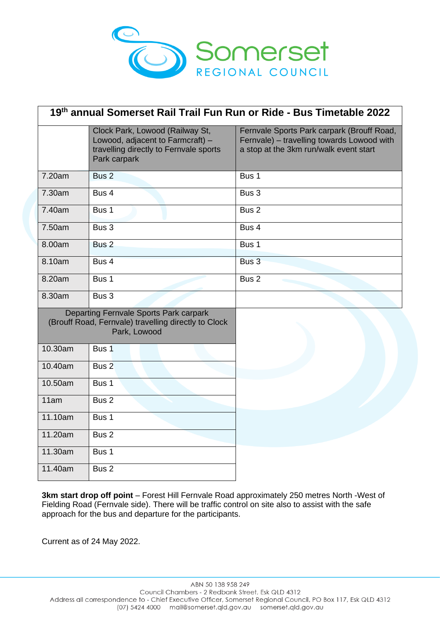

| 19th annual Somerset Rail Trail Fun Run or Ride - Bus Timetable 2022                                           |                                                                                                                               |                                                                                                                                    |
|----------------------------------------------------------------------------------------------------------------|-------------------------------------------------------------------------------------------------------------------------------|------------------------------------------------------------------------------------------------------------------------------------|
|                                                                                                                | Clock Park, Lowood (Railway St,<br>Lowood, adjacent to Farmcraft) -<br>travelling directly to Fernvale sports<br>Park carpark | Fernvale Sports Park carpark (Brouff Road,<br>Fernvale) - travelling towards Lowood with<br>a stop at the 3km run/walk event start |
| 7.20am                                                                                                         | Bus <sub>2</sub>                                                                                                              | Bus 1                                                                                                                              |
| 7.30am                                                                                                         | Bus 4                                                                                                                         | Bus 3                                                                                                                              |
| 7.40am                                                                                                         | Bus 1                                                                                                                         | Bus <sub>2</sub>                                                                                                                   |
| 7.50am                                                                                                         | Bus 3                                                                                                                         | Bus 4                                                                                                                              |
| 8.00am                                                                                                         | Bus <sub>2</sub>                                                                                                              | Bus 1                                                                                                                              |
| 8.10am                                                                                                         | Bus 4                                                                                                                         | Bus 3                                                                                                                              |
| 8.20am                                                                                                         | Bus 1                                                                                                                         | Bus <sub>2</sub>                                                                                                                   |
| 8.30am                                                                                                         | Bus 3                                                                                                                         |                                                                                                                                    |
| Departing Fernvale Sports Park carpark<br>(Brouff Road, Fernvale) travelling directly to Clock<br>Park, Lowood |                                                                                                                               |                                                                                                                                    |
| 10.30am                                                                                                        | Bus 1                                                                                                                         |                                                                                                                                    |
| 10.40am                                                                                                        | Bus 2                                                                                                                         |                                                                                                                                    |
| 10.50am                                                                                                        | Bus 1                                                                                                                         |                                                                                                                                    |
| 11am                                                                                                           | Bus <sub>2</sub>                                                                                                              |                                                                                                                                    |
| 11.10am                                                                                                        | Bus 1                                                                                                                         |                                                                                                                                    |
| 11.20am                                                                                                        | Bus <sub>2</sub>                                                                                                              |                                                                                                                                    |
| 11.30am                                                                                                        | Bus 1                                                                                                                         |                                                                                                                                    |
| 11.40am                                                                                                        | Bus 2                                                                                                                         |                                                                                                                                    |

**3km start drop off point** – Forest Hill Fernvale Road approximately 250 metres North -West of Fielding Road (Fernvale side). There will be traffic control on site also to assist with the safe approach for the bus and departure for the participants.

Current as of 24 May 2022.